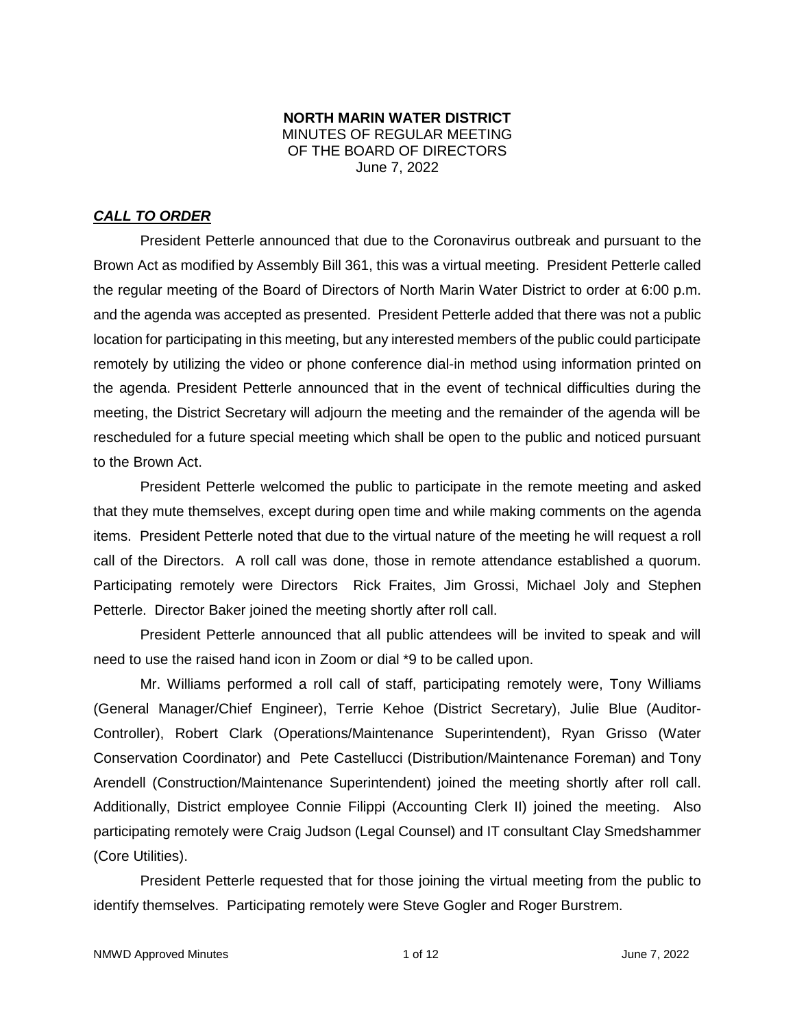### **NORTH MARIN WATER DISTRICT** MINUTES OF REGULAR MEETING OF THE BOARD OF DIRECTORS June 7, 2022

## *CALL TO ORDER*

President Petterle announced that due to the Coronavirus outbreak and pursuant to the Brown Act as modified by Assembly Bill 361, this was a virtual meeting. President Petterle called the regular meeting of the Board of Directors of North Marin Water District to order at 6:00 p.m. and the agenda was accepted as presented. President Petterle added that there was not a public location for participating in this meeting, but any interested members of the public could participate remotely by utilizing the video or phone conference dial-in method using information printed on the agenda. President Petterle announced that in the event of technical difficulties during the meeting, the District Secretary will adjourn the meeting and the remainder of the agenda will be rescheduled for a future special meeting which shall be open to the public and noticed pursuant to the Brown Act.

President Petterle welcomed the public to participate in the remote meeting and asked that they mute themselves, except during open time and while making comments on the agenda items. President Petterle noted that due to the virtual nature of the meeting he will request a roll call of the Directors. A roll call was done, those in remote attendance established a quorum. Participating remotely were Directors Rick Fraites, Jim Grossi, Michael Joly and Stephen Petterle. Director Baker joined the meeting shortly after roll call.

President Petterle announced that all public attendees will be invited to speak and will need to use the raised hand icon in Zoom or dial \*9 to be called upon.

Mr. Williams performed a roll call of staff, participating remotely were, Tony Williams (General Manager/Chief Engineer), Terrie Kehoe (District Secretary), Julie Blue (Auditor-Controller), Robert Clark (Operations/Maintenance Superintendent), Ryan Grisso (Water Conservation Coordinator) and Pete Castellucci (Distribution/Maintenance Foreman) and Tony Arendell (Construction/Maintenance Superintendent) joined the meeting shortly after roll call. Additionally, District employee Connie Filippi (Accounting Clerk II) joined the meeting. Also participating remotely were Craig Judson (Legal Counsel) and IT consultant Clay Smedshammer (Core Utilities).

President Petterle requested that for those joining the virtual meeting from the public to identify themselves. Participating remotely were Steve Gogler and Roger Burstrem.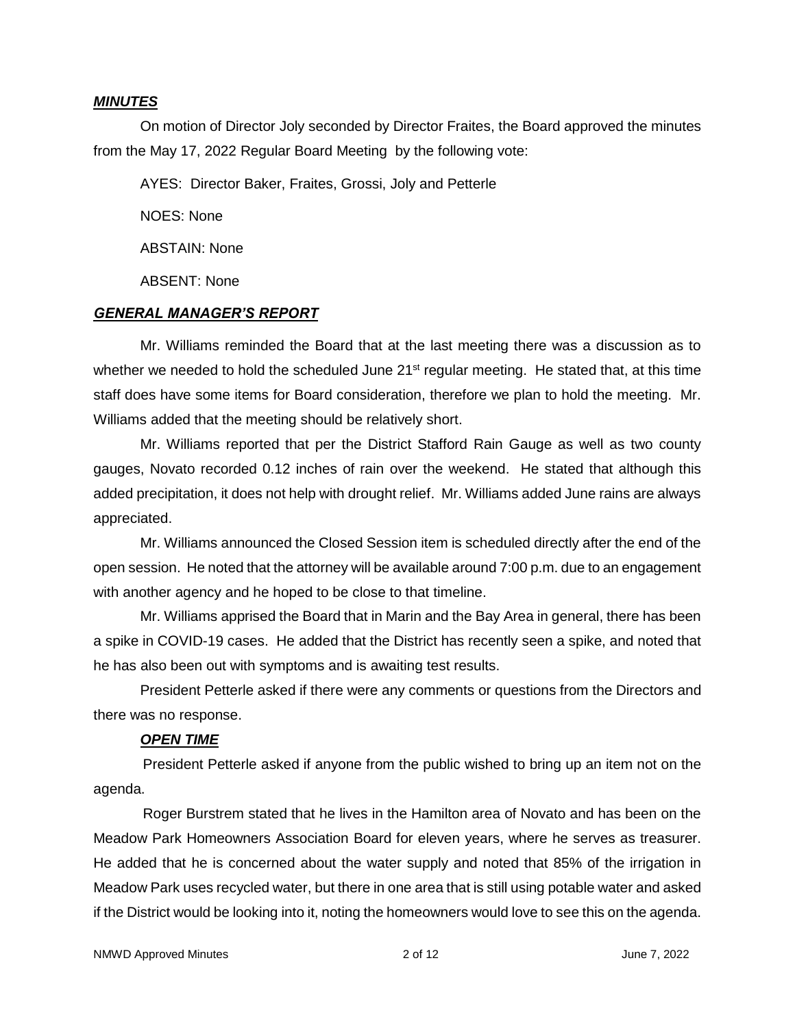### *MINUTES*

On motion of Director Joly seconded by Director Fraites, the Board approved the minutes from the May 17, 2022 Regular Board Meeting by the following vote:

AYES: Director Baker, Fraites, Grossi, Joly and Petterle

NOES: None

ABSTAIN: None

ABSENT: None

#### *GENERAL MANAGER'S REPORT*

Mr. Williams reminded the Board that at the last meeting there was a discussion as to whether we needed to hold the scheduled June 21<sup>st</sup> regular meeting. He stated that, at this time staff does have some items for Board consideration, therefore we plan to hold the meeting. Mr. Williams added that the meeting should be relatively short.

Mr. Williams reported that per the District Stafford Rain Gauge as well as two county gauges, Novato recorded 0.12 inches of rain over the weekend. He stated that although this added precipitation, it does not help with drought relief. Mr. Williams added June rains are always appreciated.

Mr. Williams announced the Closed Session item is scheduled directly after the end of the open session. He noted that the attorney will be available around 7:00 p.m. due to an engagement with another agency and he hoped to be close to that timeline.

Mr. Williams apprised the Board that in Marin and the Bay Area in general, there has been a spike in COVID-19 cases. He added that the District has recently seen a spike, and noted that he has also been out with symptoms and is awaiting test results.

President Petterle asked if there were any comments or questions from the Directors and there was no response.

### *OPEN TIME*

President Petterle asked if anyone from the public wished to bring up an item not on the agenda.

Roger Burstrem stated that he lives in the Hamilton area of Novato and has been on the Meadow Park Homeowners Association Board for eleven years, where he serves as treasurer. He added that he is concerned about the water supply and noted that 85% of the irrigation in Meadow Park uses recycled water, but there in one area that is still using potable water and asked if the District would be looking into it, noting the homeowners would love to see this on the agenda.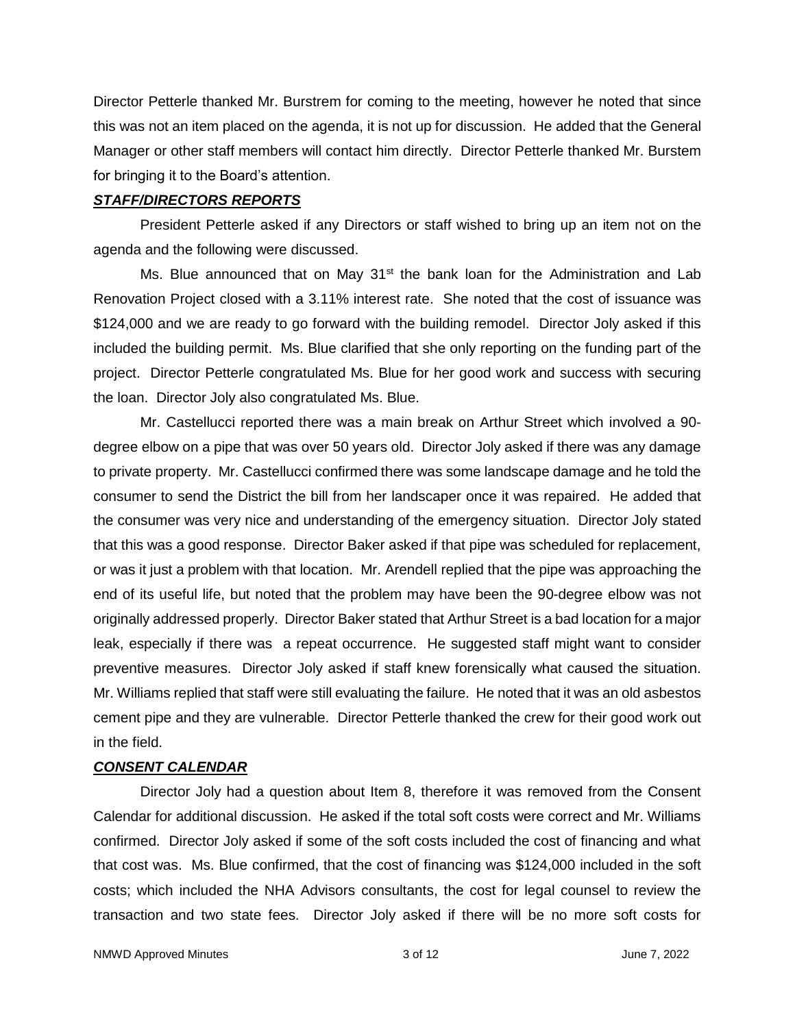Director Petterle thanked Mr. Burstrem for coming to the meeting, however he noted that since this was not an item placed on the agenda, it is not up for discussion. He added that the General Manager or other staff members will contact him directly. Director Petterle thanked Mr. Burstem for bringing it to the Board's attention.

### *STAFF/DIRECTORS REPORTS*

President Petterle asked if any Directors or staff wished to bring up an item not on the agenda and the following were discussed.

Ms. Blue announced that on May  $31<sup>st</sup>$  the bank loan for the Administration and Lab Renovation Project closed with a 3.11% interest rate. She noted that the cost of issuance was \$124,000 and we are ready to go forward with the building remodel. Director Joly asked if this included the building permit. Ms. Blue clarified that she only reporting on the funding part of the project. Director Petterle congratulated Ms. Blue for her good work and success with securing the loan. Director Joly also congratulated Ms. Blue.

Mr. Castellucci reported there was a main break on Arthur Street which involved a 90 degree elbow on a pipe that was over 50 years old. Director Joly asked if there was any damage to private property. Mr. Castellucci confirmed there was some landscape damage and he told the consumer to send the District the bill from her landscaper once it was repaired. He added that the consumer was very nice and understanding of the emergency situation. Director Joly stated that this was a good response. Director Baker asked if that pipe was scheduled for replacement, or was it just a problem with that location. Mr. Arendell replied that the pipe was approaching the end of its useful life, but noted that the problem may have been the 90-degree elbow was not originally addressed properly. Director Baker stated that Arthur Street is a bad location for a major leak, especially if there was a repeat occurrence. He suggested staff might want to consider preventive measures. Director Joly asked if staff knew forensically what caused the situation. Mr. Williams replied that staff were still evaluating the failure. He noted that it was an old asbestos cement pipe and they are vulnerable. Director Petterle thanked the crew for their good work out in the field.

### *CONSENT CALENDAR*

Director Joly had a question about Item 8, therefore it was removed from the Consent Calendar for additional discussion. He asked if the total soft costs were correct and Mr. Williams confirmed. Director Joly asked if some of the soft costs included the cost of financing and what that cost was. Ms. Blue confirmed, that the cost of financing was \$124,000 included in the soft costs; which included the NHA Advisors consultants, the cost for legal counsel to review the transaction and two state fees. Director Joly asked if there will be no more soft costs for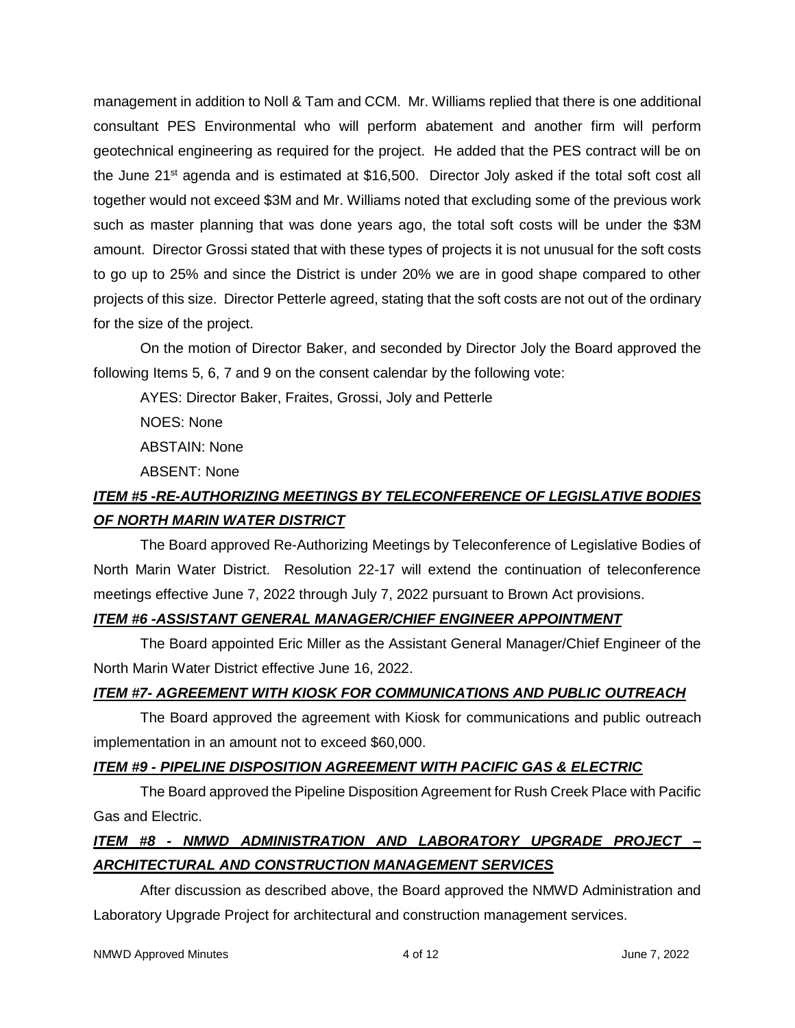management in addition to Noll & Tam and CCM. Mr. Williams replied that there is one additional consultant PES Environmental who will perform abatement and another firm will perform geotechnical engineering as required for the project. He added that the PES contract will be on the June 21st agenda and is estimated at \$16,500. Director Joly asked if the total soft cost all together would not exceed \$3M and Mr. Williams noted that excluding some of the previous work such as master planning that was done years ago, the total soft costs will be under the \$3M amount. Director Grossi stated that with these types of projects it is not unusual for the soft costs to go up to 25% and since the District is under 20% we are in good shape compared to other projects of this size. Director Petterle agreed, stating that the soft costs are not out of the ordinary for the size of the project.

On the motion of Director Baker, and seconded by Director Joly the Board approved the following Items 5, 6, 7 and 9 on the consent calendar by the following vote:

AYES: Director Baker, Fraites, Grossi, Joly and Petterle

NOES: None

ABSTAIN: None

ABSENT: None

# *ITEM #5 -RE-AUTHORIZING MEETINGS BY TELECONFERENCE OF LEGISLATIVE BODIES OF NORTH MARIN WATER DISTRICT*

The Board approved Re-Authorizing Meetings by Teleconference of Legislative Bodies of North Marin Water District. Resolution 22-17 will extend the continuation of teleconference meetings effective June 7, 2022 through July 7, 2022 pursuant to Brown Act provisions.

# *ITEM #6 -ASSISTANT GENERAL MANAGER/CHIEF ENGINEER APPOINTMENT*

The Board appointed Eric Miller as the Assistant General Manager/Chief Engineer of the North Marin Water District effective June 16, 2022.

# *ITEM #7- AGREEMENT WITH KIOSK FOR COMMUNICATIONS AND PUBLIC OUTREACH*

The Board approved the agreement with Kiosk for communications and public outreach implementation in an amount not to exceed \$60,000.

# *ITEM #9 - PIPELINE DISPOSITION AGREEMENT WITH PACIFIC GAS & ELECTRIC*

The Board approved the Pipeline Disposition Agreement for Rush Creek Place with Pacific Gas and Electric.

# *ITEM #8 - NMWD ADMINISTRATION AND LABORATORY UPGRADE PROJECT – ARCHITECTURAL AND CONSTRUCTION MANAGEMENT SERVICES*

After discussion as described above, the Board approved the NMWD Administration and Laboratory Upgrade Project for architectural and construction management services.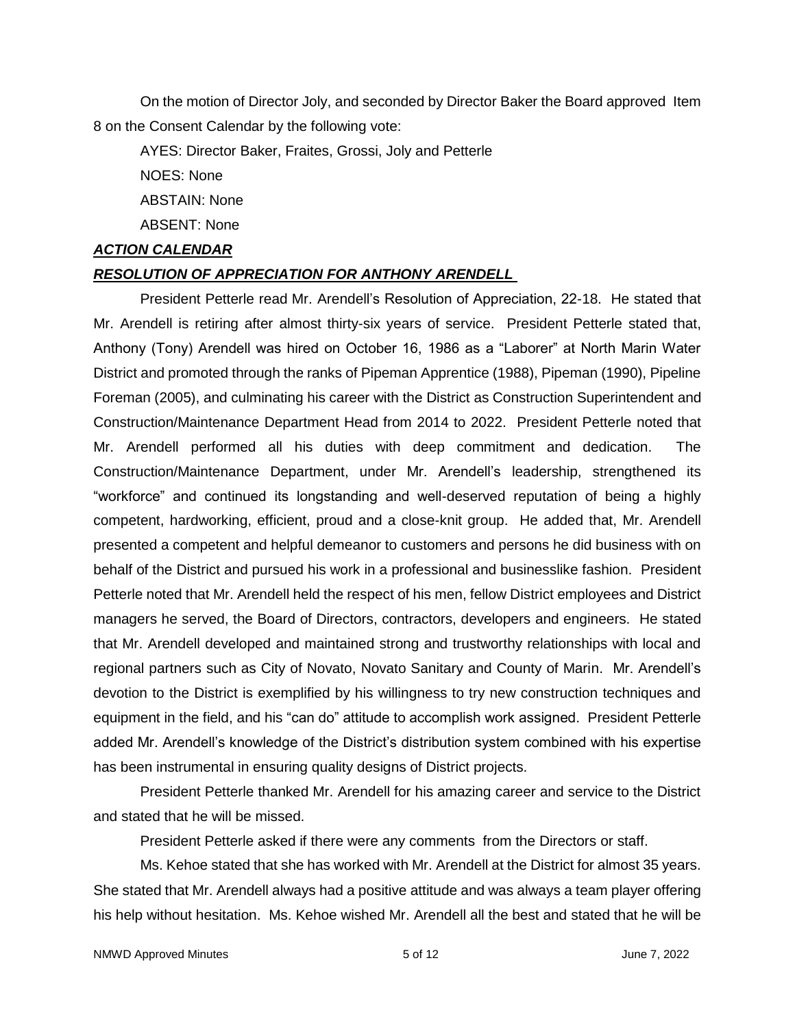On the motion of Director Joly, and seconded by Director Baker the Board approved Item 8 on the Consent Calendar by the following vote:

AYES: Director Baker, Fraites, Grossi, Joly and Petterle

NOES: None

ABSTAIN: None

ABSENT: None

## *ACTION CALENDAR*

## *RESOLUTION OF APPRECIATION FOR ANTHONY ARENDELL*

President Petterle read Mr. Arendell's Resolution of Appreciation, 22-18. He stated that Mr. Arendell is retiring after almost thirty-six years of service. President Petterle stated that, Anthony (Tony) Arendell was hired on October 16, 1986 as a "Laborer" at North Marin Water District and promoted through the ranks of Pipeman Apprentice (1988), Pipeman (1990), Pipeline Foreman (2005), and culminating his career with the District as Construction Superintendent and Construction/Maintenance Department Head from 2014 to 2022. President Petterle noted that Mr. Arendell performed all his duties with deep commitment and dedication. The Construction/Maintenance Department, under Mr. Arendell's leadership, strengthened its "workforce" and continued its longstanding and well-deserved reputation of being a highly competent, hardworking, efficient, proud and a close-knit group. He added that, Mr. Arendell presented a competent and helpful demeanor to customers and persons he did business with on behalf of the District and pursued his work in a professional and businesslike fashion. President Petterle noted that Mr. Arendell held the respect of his men, fellow District employees and District managers he served, the Board of Directors, contractors, developers and engineers. He stated that Mr. Arendell developed and maintained strong and trustworthy relationships with local and regional partners such as City of Novato, Novato Sanitary and County of Marin. Mr. Arendell's devotion to the District is exemplified by his willingness to try new construction techniques and equipment in the field, and his "can do" attitude to accomplish work assigned. President Petterle added Mr. Arendell's knowledge of the District's distribution system combined with his expertise has been instrumental in ensuring quality designs of District projects.

President Petterle thanked Mr. Arendell for his amazing career and service to the District and stated that he will be missed.

President Petterle asked if there were any comments from the Directors or staff.

Ms. Kehoe stated that she has worked with Mr. Arendell at the District for almost 35 years. She stated that Mr. Arendell always had a positive attitude and was always a team player offering his help without hesitation. Ms. Kehoe wished Mr. Arendell all the best and stated that he will be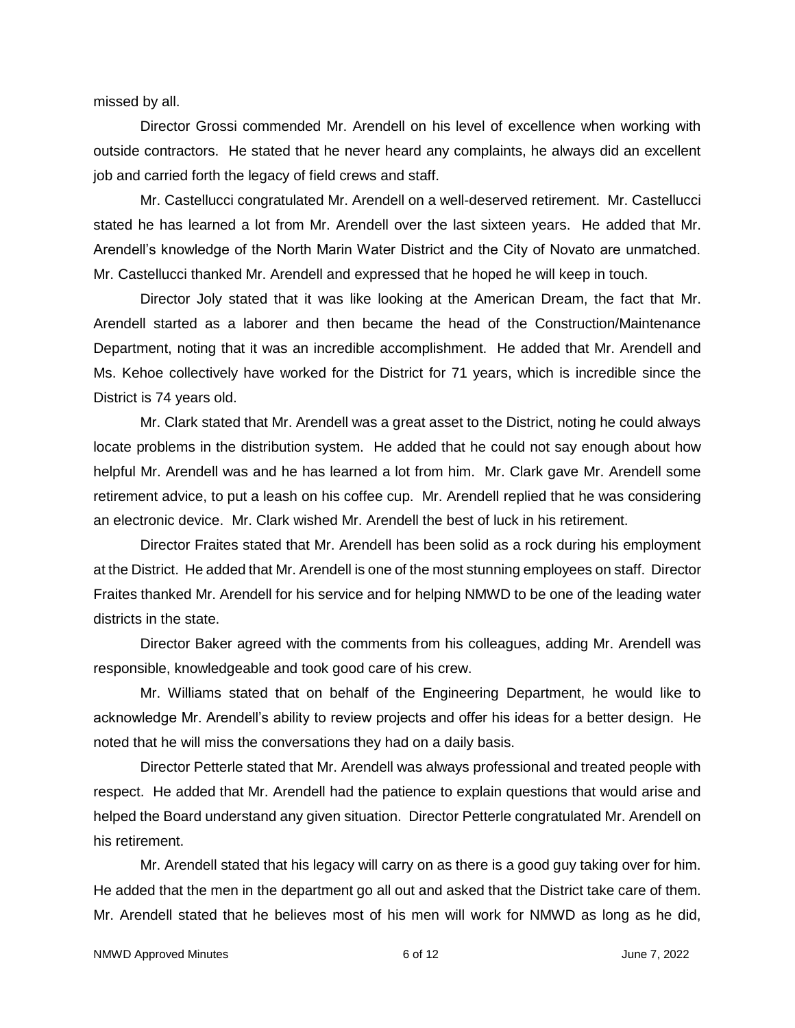missed by all.

Director Grossi commended Mr. Arendell on his level of excellence when working with outside contractors. He stated that he never heard any complaints, he always did an excellent job and carried forth the legacy of field crews and staff.

Mr. Castellucci congratulated Mr. Arendell on a well-deserved retirement. Mr. Castellucci stated he has learned a lot from Mr. Arendell over the last sixteen years. He added that Mr. Arendell's knowledge of the North Marin Water District and the City of Novato are unmatched. Mr. Castellucci thanked Mr. Arendell and expressed that he hoped he will keep in touch.

Director Joly stated that it was like looking at the American Dream, the fact that Mr. Arendell started as a laborer and then became the head of the Construction/Maintenance Department, noting that it was an incredible accomplishment. He added that Mr. Arendell and Ms. Kehoe collectively have worked for the District for 71 years, which is incredible since the District is 74 years old.

Mr. Clark stated that Mr. Arendell was a great asset to the District, noting he could always locate problems in the distribution system. He added that he could not say enough about how helpful Mr. Arendell was and he has learned a lot from him. Mr. Clark gave Mr. Arendell some retirement advice, to put a leash on his coffee cup. Mr. Arendell replied that he was considering an electronic device. Mr. Clark wished Mr. Arendell the best of luck in his retirement.

Director Fraites stated that Mr. Arendell has been solid as a rock during his employment at the District. He added that Mr. Arendell is one of the most stunning employees on staff. Director Fraites thanked Mr. Arendell for his service and for helping NMWD to be one of the leading water districts in the state.

Director Baker agreed with the comments from his colleagues, adding Mr. Arendell was responsible, knowledgeable and took good care of his crew.

Mr. Williams stated that on behalf of the Engineering Department, he would like to acknowledge Mr. Arendell's ability to review projects and offer his ideas for a better design. He noted that he will miss the conversations they had on a daily basis.

Director Petterle stated that Mr. Arendell was always professional and treated people with respect. He added that Mr. Arendell had the patience to explain questions that would arise and helped the Board understand any given situation. Director Petterle congratulated Mr. Arendell on his retirement.

Mr. Arendell stated that his legacy will carry on as there is a good guy taking over for him. He added that the men in the department go all out and asked that the District take care of them. Mr. Arendell stated that he believes most of his men will work for NMWD as long as he did,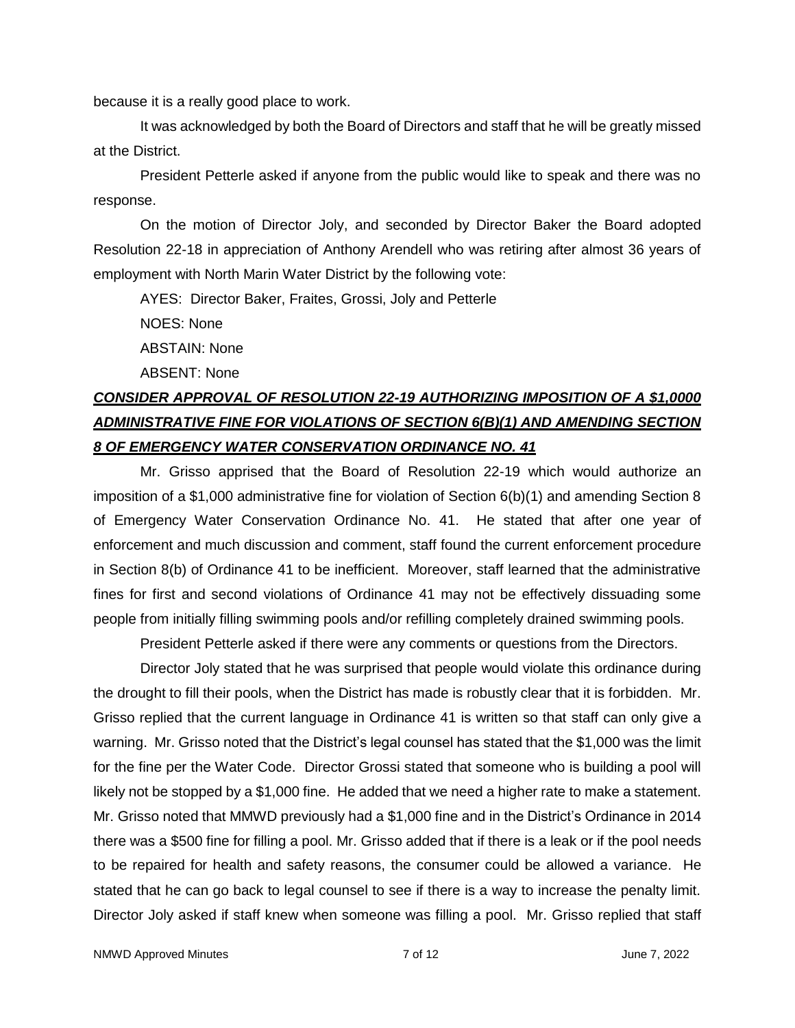because it is a really good place to work.

 It was acknowledged by both the Board of Directors and staff that he will be greatly missed at the District.

President Petterle asked if anyone from the public would like to speak and there was no response.

On the motion of Director Joly, and seconded by Director Baker the Board adopted Resolution 22-18 in appreciation of Anthony Arendell who was retiring after almost 36 years of employment with North Marin Water District by the following vote:

AYES: Director Baker, Fraites, Grossi, Joly and Petterle

NOES: None

ABSTAIN: None

ABSENT: None

# *CONSIDER APPROVAL OF RESOLUTION 22-19 AUTHORIZING IMPOSITION OF A \$1,0000 ADMINISTRATIVE FINE FOR VIOLATIONS OF SECTION 6(B)(1) AND AMENDING SECTION 8 OF EMERGENCY WATER CONSERVATION ORDINANCE NO. 41*

Mr. Grisso apprised that the Board of Resolution 22-19 which would authorize an imposition of a \$1,000 administrative fine for violation of Section 6(b)(1) and amending Section 8 of Emergency Water Conservation Ordinance No. 41. He stated that after one year of enforcement and much discussion and comment, staff found the current enforcement procedure in Section 8(b) of Ordinance 41 to be inefficient. Moreover, staff learned that the administrative fines for first and second violations of Ordinance 41 may not be effectively dissuading some people from initially filling swimming pools and/or refilling completely drained swimming pools.

President Petterle asked if there were any comments or questions from the Directors.

Director Joly stated that he was surprised that people would violate this ordinance during the drought to fill their pools, when the District has made is robustly clear that it is forbidden. Mr. Grisso replied that the current language in Ordinance 41 is written so that staff can only give a warning. Mr. Grisso noted that the District's legal counsel has stated that the \$1,000 was the limit for the fine per the Water Code. Director Grossi stated that someone who is building a pool will likely not be stopped by a \$1,000 fine. He added that we need a higher rate to make a statement. Mr. Grisso noted that MMWD previously had a \$1,000 fine and in the District's Ordinance in 2014 there was a \$500 fine for filling a pool. Mr. Grisso added that if there is a leak or if the pool needs to be repaired for health and safety reasons, the consumer could be allowed a variance. He stated that he can go back to legal counsel to see if there is a way to increase the penalty limit. Director Joly asked if staff knew when someone was filling a pool. Mr. Grisso replied that staff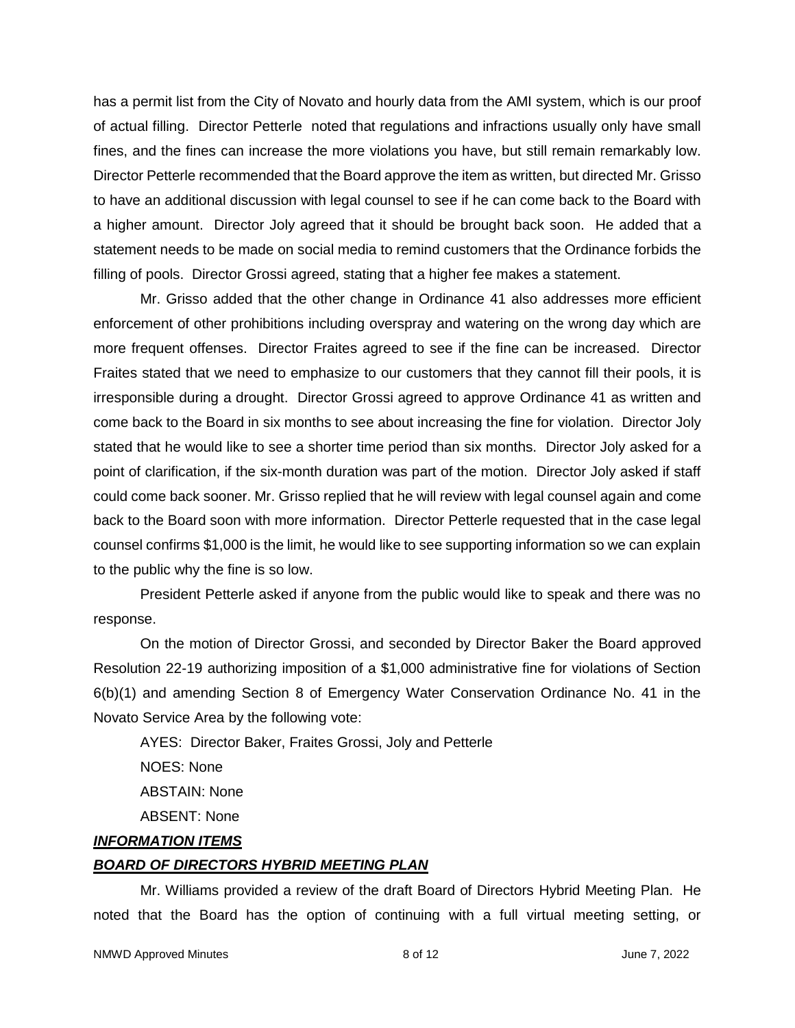has a permit list from the City of Novato and hourly data from the AMI system, which is our proof of actual filling. Director Petterle noted that regulations and infractions usually only have small fines, and the fines can increase the more violations you have, but still remain remarkably low. Director Petterle recommended that the Board approve the item as written, but directed Mr. Grisso to have an additional discussion with legal counsel to see if he can come back to the Board with a higher amount. Director Joly agreed that it should be brought back soon. He added that a statement needs to be made on social media to remind customers that the Ordinance forbids the filling of pools. Director Grossi agreed, stating that a higher fee makes a statement.

Mr. Grisso added that the other change in Ordinance 41 also addresses more efficient enforcement of other prohibitions including overspray and watering on the wrong day which are more frequent offenses. Director Fraites agreed to see if the fine can be increased. Director Fraites stated that we need to emphasize to our customers that they cannot fill their pools, it is irresponsible during a drought. Director Grossi agreed to approve Ordinance 41 as written and come back to the Board in six months to see about increasing the fine for violation. Director Joly stated that he would like to see a shorter time period than six months. Director Joly asked for a point of clarification, if the six-month duration was part of the motion. Director Joly asked if staff could come back sooner. Mr. Grisso replied that he will review with legal counsel again and come back to the Board soon with more information. Director Petterle requested that in the case legal counsel confirms \$1,000 is the limit, he would like to see supporting information so we can explain to the public why the fine is so low.

President Petterle asked if anyone from the public would like to speak and there was no response.

On the motion of Director Grossi, and seconded by Director Baker the Board approved Resolution 22-19 authorizing imposition of a \$1,000 administrative fine for violations of Section 6(b)(1) and amending Section 8 of Emergency Water Conservation Ordinance No. 41 in the Novato Service Area by the following vote:

AYES: Director Baker, Fraites Grossi, Joly and Petterle NOES: None ABSTAIN: None ABSENT: None

### *INFORMATION ITEMS*

## *BOARD OF DIRECTORS HYBRID MEETING PLAN*

Mr. Williams provided a review of the draft Board of Directors Hybrid Meeting Plan. He noted that the Board has the option of continuing with a full virtual meeting setting, or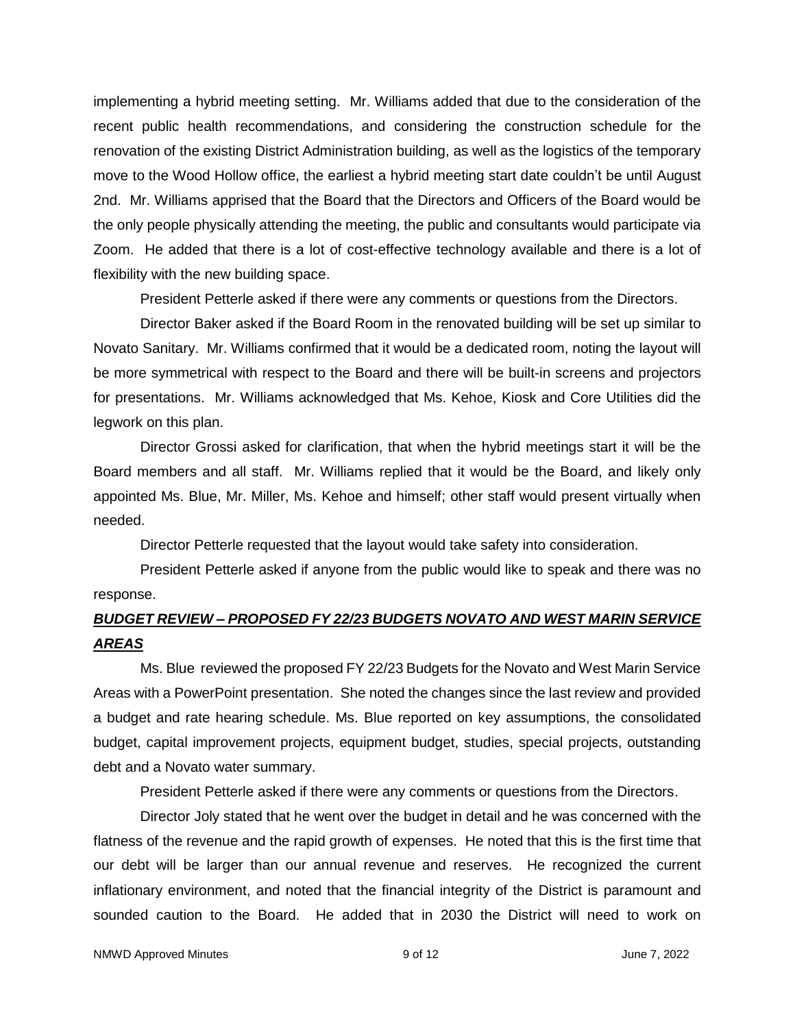implementing a hybrid meeting setting. Mr. Williams added that due to the consideration of the recent public health recommendations, and considering the construction schedule for the renovation of the existing District Administration building, as well as the logistics of the temporary move to the Wood Hollow office, the earliest a hybrid meeting start date couldn't be until August 2nd. Mr. Williams apprised that the Board that the Directors and Officers of the Board would be the only people physically attending the meeting, the public and consultants would participate via Zoom. He added that there is a lot of cost-effective technology available and there is a lot of flexibility with the new building space.

President Petterle asked if there were any comments or questions from the Directors.

Director Baker asked if the Board Room in the renovated building will be set up similar to Novato Sanitary. Mr. Williams confirmed that it would be a dedicated room, noting the layout will be more symmetrical with respect to the Board and there will be built-in screens and projectors for presentations. Mr. Williams acknowledged that Ms. Kehoe, Kiosk and Core Utilities did the legwork on this plan.

Director Grossi asked for clarification, that when the hybrid meetings start it will be the Board members and all staff. Mr. Williams replied that it would be the Board, and likely only appointed Ms. Blue, Mr. Miller, Ms. Kehoe and himself; other staff would present virtually when needed.

Director Petterle requested that the layout would take safety into consideration.

President Petterle asked if anyone from the public would like to speak and there was no response.

# *BUDGET REVIEW – PROPOSED FY 22/23 BUDGETS NOVATO AND WEST MARIN SERVICE AREAS*

Ms. Blue reviewed the proposed FY 22/23 Budgets for the Novato and West Marin Service Areas with a PowerPoint presentation. She noted the changes since the last review and provided a budget and rate hearing schedule. Ms. Blue reported on key assumptions, the consolidated budget, capital improvement projects, equipment budget, studies, special projects, outstanding debt and a Novato water summary.

President Petterle asked if there were any comments or questions from the Directors.

Director Joly stated that he went over the budget in detail and he was concerned with the flatness of the revenue and the rapid growth of expenses. He noted that this is the first time that our debt will be larger than our annual revenue and reserves. He recognized the current inflationary environment, and noted that the financial integrity of the District is paramount and sounded caution to the Board. He added that in 2030 the District will need to work on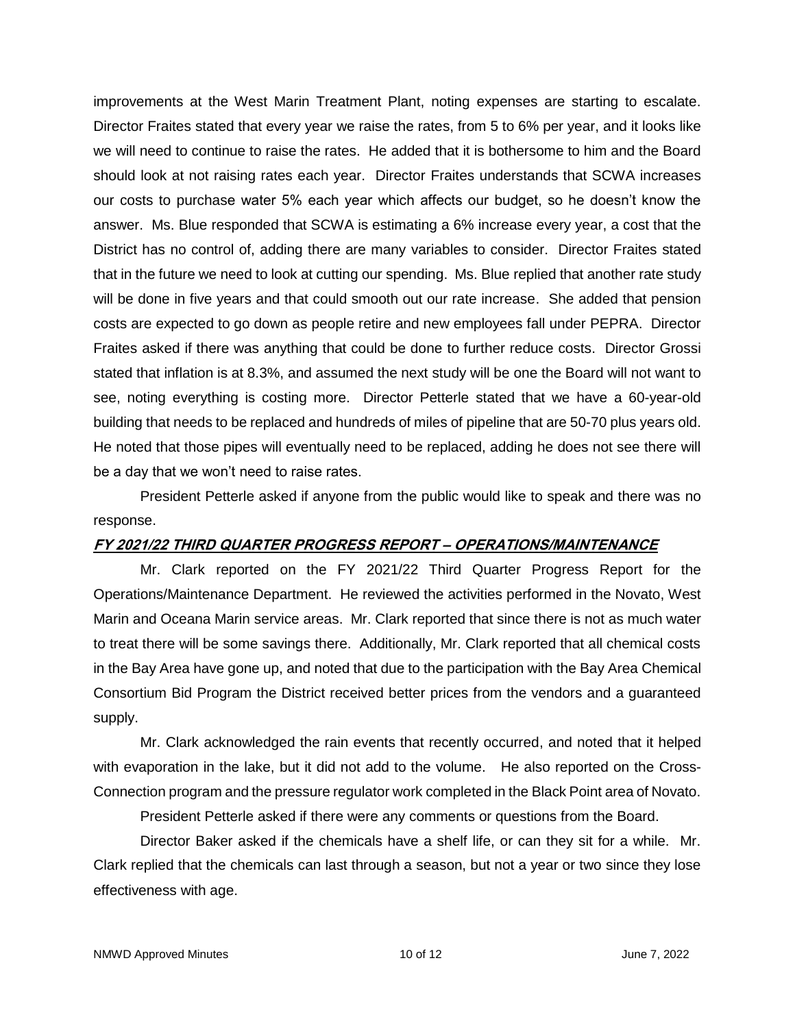improvements at the West Marin Treatment Plant, noting expenses are starting to escalate. Director Fraites stated that every year we raise the rates, from 5 to 6% per year, and it looks like we will need to continue to raise the rates. He added that it is bothersome to him and the Board should look at not raising rates each year. Director Fraites understands that SCWA increases our costs to purchase water 5% each year which affects our budget, so he doesn't know the answer. Ms. Blue responded that SCWA is estimating a 6% increase every year, a cost that the District has no control of, adding there are many variables to consider. Director Fraites stated that in the future we need to look at cutting our spending. Ms. Blue replied that another rate study will be done in five years and that could smooth out our rate increase. She added that pension costs are expected to go down as people retire and new employees fall under PEPRA. Director Fraites asked if there was anything that could be done to further reduce costs. Director Grossi stated that inflation is at 8.3%, and assumed the next study will be one the Board will not want to see, noting everything is costing more. Director Petterle stated that we have a 60-year-old building that needs to be replaced and hundreds of miles of pipeline that are 50-70 plus years old. He noted that those pipes will eventually need to be replaced, adding he does not see there will be a day that we won't need to raise rates.

President Petterle asked if anyone from the public would like to speak and there was no response.

## **FY 2021/22 THIRD QUARTER PROGRESS REPORT – OPERATIONS/MAINTENANCE**

Mr. Clark reported on the FY 2021/22 Third Quarter Progress Report for the Operations/Maintenance Department. He reviewed the activities performed in the Novato, West Marin and Oceana Marin service areas. Mr. Clark reported that since there is not as much water to treat there will be some savings there. Additionally, Mr. Clark reported that all chemical costs in the Bay Area have gone up, and noted that due to the participation with the Bay Area Chemical Consortium Bid Program the District received better prices from the vendors and a guaranteed supply.

Mr. Clark acknowledged the rain events that recently occurred, and noted that it helped with evaporation in the lake, but it did not add to the volume. He also reported on the Cross-Connection program and the pressure regulator work completed in the Black Point area of Novato.

President Petterle asked if there were any comments or questions from the Board.

Director Baker asked if the chemicals have a shelf life, or can they sit for a while. Mr. Clark replied that the chemicals can last through a season, but not a year or two since they lose effectiveness with age.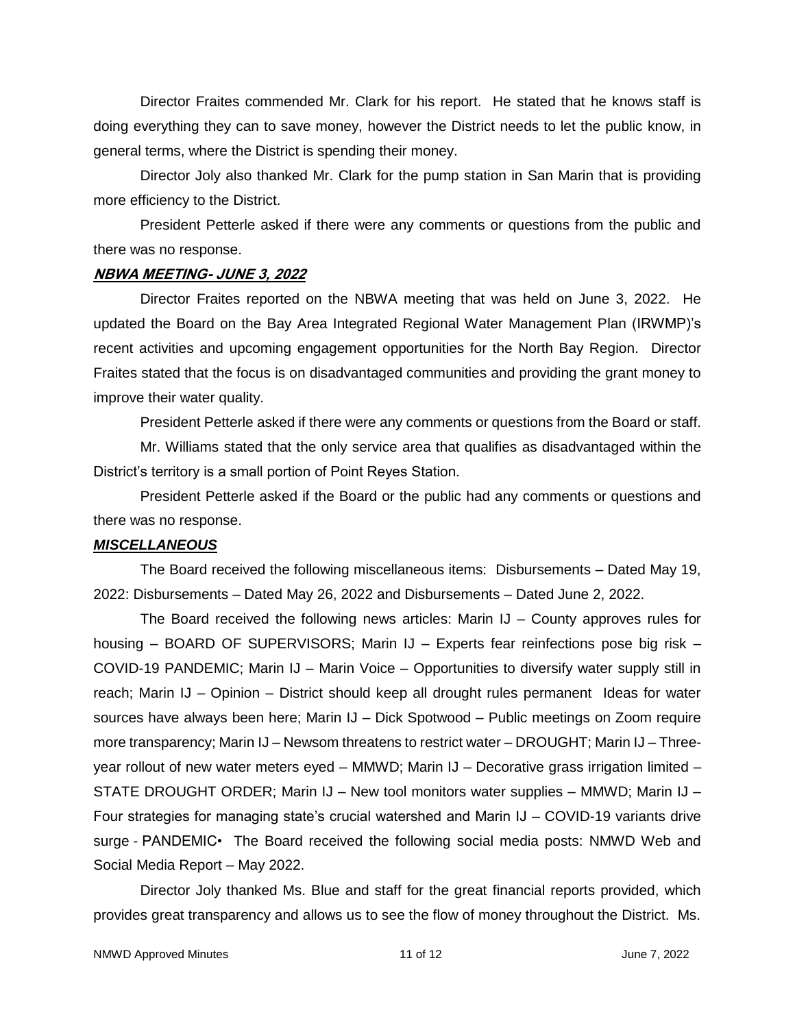Director Fraites commended Mr. Clark for his report. He stated that he knows staff is doing everything they can to save money, however the District needs to let the public know, in general terms, where the District is spending their money.

Director Joly also thanked Mr. Clark for the pump station in San Marin that is providing more efficiency to the District.

President Petterle asked if there were any comments or questions from the public and there was no response.

### **NBWA MEETING- JUNE 3, 2022**

Director Fraites reported on the NBWA meeting that was held on June 3, 2022. He updated the Board on the Bay Area Integrated Regional Water Management Plan (IRWMP)'s recent activities and upcoming engagement opportunities for the North Bay Region. Director Fraites stated that the focus is on disadvantaged communities and providing the grant money to improve their water quality.

President Petterle asked if there were any comments or questions from the Board or staff.

Mr. Williams stated that the only service area that qualifies as disadvantaged within the District's territory is a small portion of Point Reyes Station.

President Petterle asked if the Board or the public had any comments or questions and there was no response.

### *MISCELLANEOUS*

The Board received the following miscellaneous items: Disbursements – Dated May 19, 2022: Disbursements – Dated May 26, 2022 and Disbursements – Dated June 2, 2022.

The Board received the following news articles: Marin IJ – County approves rules for housing – BOARD OF SUPERVISORS; Marin IJ – Experts fear reinfections pose big risk – COVID-19 PANDEMIC; Marin IJ – Marin Voice – Opportunities to diversify water supply still in reach; Marin IJ – Opinion – District should keep all drought rules permanent Ideas for water sources have always been here; Marin IJ – Dick Spotwood – Public meetings on Zoom require more transparency; Marin IJ – Newsom threatens to restrict water – DROUGHT; Marin IJ – Threeyear rollout of new water meters eyed – MMWD; Marin IJ – Decorative grass irrigation limited – STATE DROUGHT ORDER; Marin IJ – New tool monitors water supplies – MMWD; Marin IJ – Four strategies for managing state's crucial watershed and Marin IJ – COVID-19 variants drive surge - PANDEMIC• The Board received the following social media posts: NMWD Web and Social Media Report – May 2022.

Director Joly thanked Ms. Blue and staff for the great financial reports provided, which provides great transparency and allows us to see the flow of money throughout the District. Ms.